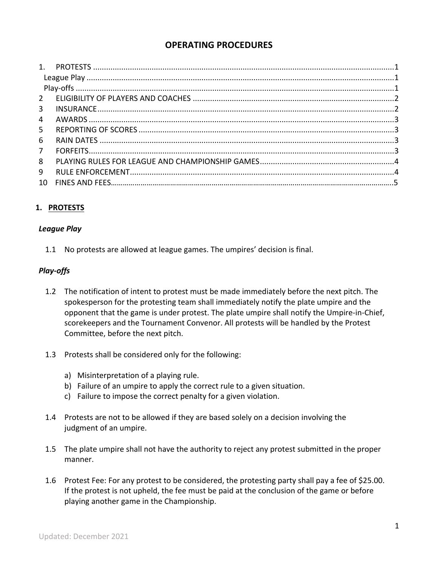# **OPERATING PROCEDURES**

| $\overline{3}$ |  |
|----------------|--|
| $\overline{4}$ |  |
| 5 <sup>1</sup> |  |
| 6              |  |
| $7^{\circ}$    |  |
| 8              |  |
| 9              |  |
| 10             |  |
|                |  |

## **1. PROTESTS**

#### *League Play*

1.1 No protests are allowed at league games. The umpires' decision is final.

## *Play-offs*

- 1.2 The notification of intent to protest must be made immediately before the next pitch. The spokesperson for the protesting team shall immediately notify the plate umpire and the opponent that the game is under protest. The plate umpire shall notify the Umpire-in-Chief, scorekeepers and the Tournament Convenor. All protests will be handled by the Protest Committee, before the next pitch.
- 1.3 Protests shall be considered only for the following:
	- a) Misinterpretation of a playing rule.
	- b) Failure of an umpire to apply the correct rule to a given situation.
	- c) Failure to impose the correct penalty for a given violation.
- 1.4 Protests are not to be allowed if they are based solely on a decision involving the judgment of an umpire.
- 1.5 The plate umpire shall not have the authority to reject any protest submitted in the proper manner.
- 1.6 Protest Fee: For any protest to be considered, the protesting party shall pay a fee of \$25.00. If the protest is not upheld, the fee must be paid at the conclusion of the game or before playing another game in the Championship.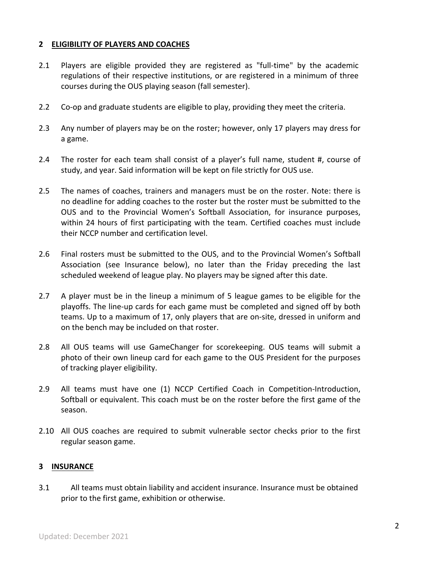#### **2 ELIGIBILITY OF PLAYERS AND COACHES**

- 2.1 Players are eligible provided they are registered as "full-time" by the academic regulations of their respective institutions, or are registered in a minimum of three courses during the OUS playing season (fall semester).
- 2.2 Co-op and graduate students are eligible to play, providing they meet the criteria.
- 2.3 Any number of players may be on the roster; however, only 17 players may dress for a game.
- 2.4 The roster for each team shall consist of a player's full name, student #, course of study, and year. Said information will be kept on file strictly for OUS use.
- 2.5 The names of coaches, trainers and managers must be on the roster. Note: there is no deadline for adding coaches to the roster but the roster must be submitted to the OUS and to the Provincial Women's Softball Association, for insurance purposes, within 24 hours of first participating with the team. Certified coaches must include their NCCP number and certification level.
- 2.6 Final rosters must be submitted to the OUS, and to the Provincial Women's Softball Association (see Insurance below), no later than the Friday preceding the last scheduled weekend of league play. No players may be signed after this date.
- 2.7 A player must be in the lineup a minimum of 5 league games to be eligible for the playoffs. The line-up cards for each game must be completed and signed off by both teams. Up to a maximum of 17, only players that are on-site, dressed in uniform and on the bench may be included on that roster.
- 2.8 All OUS teams will use GameChanger for scorekeeping. OUS teams will submit a photo of their own lineup card for each game to the OUS President for the purposes of tracking player eligibility.
- 2.9 All teams must have one (1) NCCP Certified Coach in Competition-Introduction, Softball or equivalent. This coach must be on the roster before the first game of the season.
- 2.10 All OUS coaches are required to submit vulnerable sector checks prior to the first regular season game.

#### **3 INSURANCE**

3.1 All teams must obtain liability and accident insurance. Insurance must be obtained prior to the first game, exhibition or otherwise.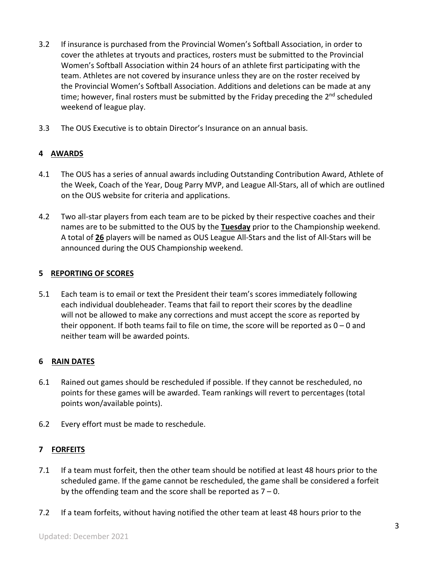- 3.2 If insurance is purchased from the Provincial Women's Softball Association, in order to cover the athletes at tryouts and practices, rosters must be submitted to the Provincial Women's Softball Association within 24 hours of an athlete first participating with the team. Athletes are not covered by insurance unless they are on the roster received by the Provincial Women's Softball Association. Additions and deletions can be made at any time; however, final rosters must be submitted by the Friday preceding the 2<sup>nd</sup> scheduled weekend of league play.
- 3.3 The OUS Executive is to obtain Director's Insurance on an annual basis.

## **4 AWARDS**

- 4.1 The OUS has a series of annual awards including Outstanding Contribution Award, Athlete of the Week, Coach of the Year, Doug Parry MVP, and League All-Stars, all of which are outlined on the OUS website for criteria and applications.
- 4.2 Two all-star players from each team are to be picked by their respective coaches and their names are to be submitted to the OUS by the **Tuesday** prior to the Championship weekend. A total of **26** players will be named as OUS League All-Stars and the list of All-Stars will be announced during the OUS Championship weekend.

#### **5 REPORTING OF SCORES**

5.1 Each team is to email or text the President their team's scores immediately following each individual doubleheader. Teams that fail to report their scores by the deadline will not be allowed to make any corrections and must accept the score as reported by their opponent. If both teams fail to file on time, the score will be reported as  $0 - 0$  and neither team will be awarded points.

## **6 RAIN DATES**

- 6.1 Rained out games should be rescheduled if possible. If they cannot be rescheduled, no points for these games will be awarded. Team rankings will revert to percentages (total points won/available points).
- 6.2 Every effort must be made to reschedule.

## **7 FORFEITS**

- 7.1 If a team must forfeit, then the other team should be notified at least 48 hours prior to the scheduled game. If the game cannot be rescheduled, the game shall be considered a forfeit by the offending team and the score shall be reported as  $7 - 0$ .
- 7.2 If a team forfeits, without having notified the other team at least 48 hours prior to the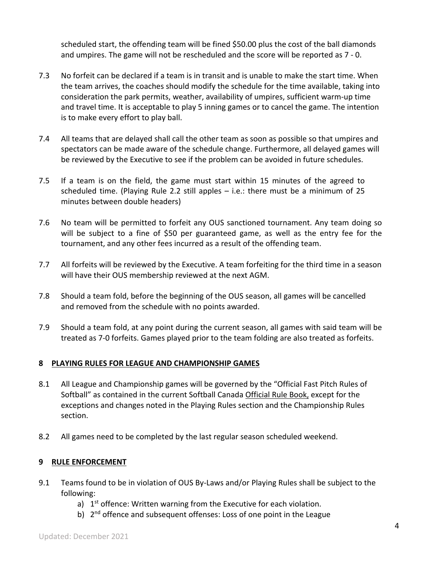scheduled start, the offending team will be fined \$50.00 plus the cost of the ball diamonds and umpires. The game will not be rescheduled and the score will be reported as 7 - 0.

- 7.3 No forfeit can be declared if a team is in transit and is unable to make the start time. When the team arrives, the coaches should modify the schedule for the time available, taking into consideration the park permits, weather, availability of umpires, sufficient warm-up time and travel time. It is acceptable to play 5 inning games or to cancel the game. The intention is to make every effort to play ball.
- 7.4 All teams that are delayed shall call the other team as soon as possible so that umpires and spectators can be made aware of the schedule change. Furthermore, all delayed games will be reviewed by the Executive to see if the problem can be avoided in future schedules.
- 7.5 If a team is on the field, the game must start within 15 minutes of the agreed to scheduled time. (Playing Rule 2.2 still apples  $-$  i.e.: there must be a minimum of 25 minutes between double headers)
- 7.6 No team will be permitted to forfeit any OUS sanctioned tournament. Any team doing so will be subject to a fine of \$50 per guaranteed game, as well as the entry fee for the tournament, and any other fees incurred as a result of the offending team.
- 7.7 All forfeits will be reviewed by the Executive. A team forfeiting for the third time in a season will have their OUS membership reviewed at the next AGM.
- 7.8 Should a team fold, before the beginning of the OUS season, all games will be cancelled and removed from the schedule with no points awarded.
- 7.9 Should a team fold, at any point during the current season, all games with said team will be treated as 7-0 forfeits. Games played prior to the team folding are also treated as forfeits.

## **8 PLAYING RULES FOR LEAGUE AND CHAMPIONSHIP GAMES**

- 8.1 All League and Championship games will be governed by the "Official Fast Pitch Rules of Softball" as contained in the current Softball Canada Official Rule Book, except for the exceptions and changes noted in the Playing Rules section and the Championship Rules section.
- 8.2 All games need to be completed by the last regular season scheduled weekend.

## **9 RULE ENFORCEMENT**

- 9.1 Teams found to be in violation of OUS By-Laws and/or Playing Rules shall be subject to the following:
	- a)  $1<sup>st</sup>$  offence: Written warning from the Executive for each violation.
	- b) 2<sup>nd</sup> offence and subsequent offenses: Loss of one point in the League